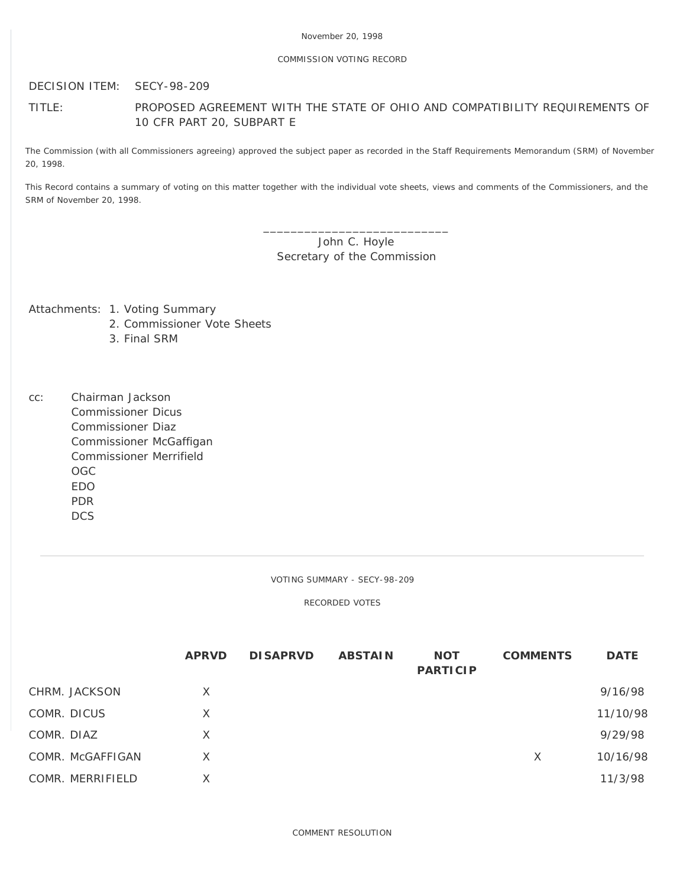## COMMISSION VOTING RECORD

DECISION ITEM: SECY-98-209

## TITLE: PROPOSED AGREEMENT WITH THE STATE OF OHIO AND COMPATIBILITY REQUIREMENTS OF 10 CFR PART 20, SUBPART E

The Commission (with all Commissioners agreeing) approved the subject paper as recorded in the Staff Requirements Memorandum (SRM) of November 20, 1998.

This Record contains a summary of voting on this matter together with the individual vote sheets, views and comments of the Commissioners, and the SRM of November 20, 1998.

> \_\_\_\_\_\_\_\_\_\_\_\_\_\_\_\_\_\_\_\_\_\_\_\_\_\_\_ John C. Hoyle Secretary of the Commission

Attachments: 1. Voting Summary

- 2. Commissioner Vote Sheets
- 3. Final SRM
- cc: Chairman Jackson Commissioner Dicus Commissioner Diaz Commissioner McGaffigan Commissioner Merrifield OGC EDO PDR DCS

VOTING SUMMARY - SECY-98-209

RECORDED VOTES

|                  | <b>APRVD</b> | <b>DISAPRVD</b> | <b>ABSTAIN</b> | <b>NOT</b><br><b>PARTICIP</b> | <b>COMMENTS</b> | <b>DATE</b> |
|------------------|--------------|-----------------|----------------|-------------------------------|-----------------|-------------|
| CHRM. JACKSON    | X            |                 |                |                               |                 | 9/16/98     |
| COMR. DICUS      | X            |                 |                |                               |                 | 11/10/98    |
| COMR. DIAZ       | $\times$     |                 |                |                               |                 | 9/29/98     |
| COMR. McGAFFIGAN | X.           |                 |                |                               | X               | 10/16/98    |
| COMR. MERRIFIELD | X            |                 |                |                               |                 | 11/3/98     |